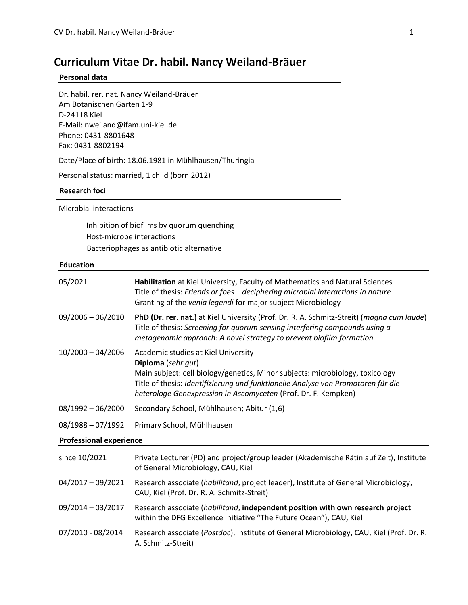# **Curriculum Vitae Dr. habil. Nancy Weiland-Bräuer**

#### **Personal data**

Dr. habil. rer. nat. Nancy Weiland-Bräuer Am Botanischen Garten 1-9 D-24118 Kiel E-Mail: nweiland@ifam.uni-kiel.de Phone: 0431-8801648 Fax: 0431-8802194

Date/Place of birth: 18.06.1981 in Mühlhausen/Thuringia

Personal status: married, 1 child (born 2012)

## **Research foci**

Microbial interactions

Inhibition of biofilms by quorum quenching Host-microbe interactions Bacteriophages as antibiotic alternative

## **Education**

| 05/2021                        | Habilitation at Kiel University, Faculty of Mathematics and Natural Sciences<br>Title of thesis: Friends or foes - deciphering microbial interactions in nature<br>Granting of the venia legendi for major subject Microbiology                                                                  |  |
|--------------------------------|--------------------------------------------------------------------------------------------------------------------------------------------------------------------------------------------------------------------------------------------------------------------------------------------------|--|
| $09/2006 - 06/2010$            | PhD (Dr. rer. nat.) at Kiel University (Prof. Dr. R. A. Schmitz-Streit) (magna cum laude)<br>Title of thesis: Screening for quorum sensing interfering compounds using a<br>metagenomic approach: A novel strategy to prevent biofilm formation.                                                 |  |
| $10/2000 - 04/2006$            | Academic studies at Kiel University<br>Diploma (sehr gut)<br>Main subject: cell biology/genetics, Minor subjects: microbiology, toxicology<br>Title of thesis: Identifizierung und funktionelle Analyse von Promotoren für die<br>heterologe Genexpression in Ascomyceten (Prof. Dr. F. Kempken) |  |
| $08/1992 - 06/2000$            | Secondary School, Mühlhausen; Abitur (1,6)                                                                                                                                                                                                                                                       |  |
| $08/1988 - 07/1992$            | Primary School, Mühlhausen                                                                                                                                                                                                                                                                       |  |
| <b>Professional experience</b> |                                                                                                                                                                                                                                                                                                  |  |
| since 10/2021                  | Private Lecturer (PD) and project/group leader (Akademische Rätin auf Zeit), Institute<br>of General Microbiology, CAU, Kiel                                                                                                                                                                     |  |
| $04/2017 - 09/2021$            | Research associate (habilitand, project leader), Institute of General Microbiology,<br>CAU, Kiel (Prof. Dr. R. A. Schmitz-Streit)                                                                                                                                                                |  |
| 09/2014 - 03/2017              | Research associate (habilitand, independent position with own research project<br>within the DFG Excellence Initiative "The Future Ocean"), CAU, Kiel                                                                                                                                            |  |
| 07/2010 - 08/2014              | Research associate (Postdoc), Institute of General Microbiology, CAU, Kiel (Prof. Dr. R.<br>A. Schmitz-Streit)                                                                                                                                                                                   |  |